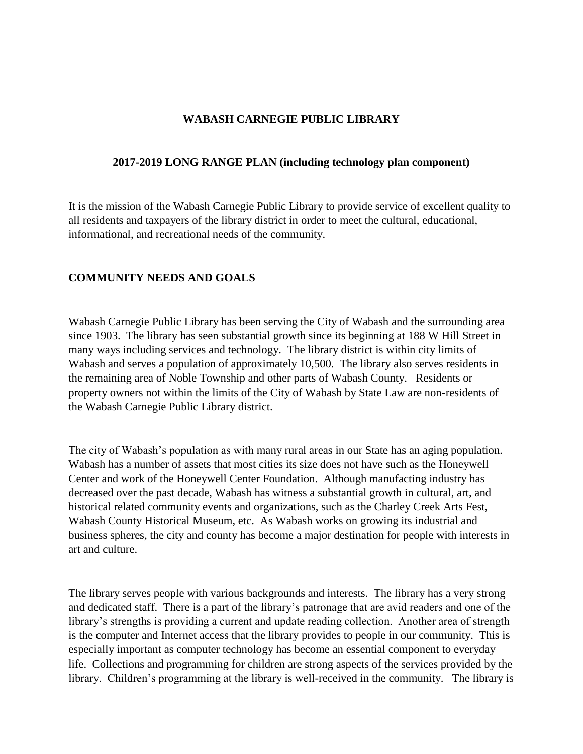## **WABASH CARNEGIE PUBLIC LIBRARY**

### **2017-2019 LONG RANGE PLAN (including technology plan component)**

It is the mission of the Wabash Carnegie Public Library to provide service of excellent quality to all residents and taxpayers of the library district in order to meet the cultural, educational, informational, and recreational needs of the community.

## **COMMUNITY NEEDS AND GOALS**

Wabash Carnegie Public Library has been serving the City of Wabash and the surrounding area since 1903. The library has seen substantial growth since its beginning at 188 W Hill Street in many ways including services and technology. The library district is within city limits of Wabash and serves a population of approximately 10,500. The library also serves residents in the remaining area of Noble Township and other parts of Wabash County. Residents or property owners not within the limits of the City of Wabash by State Law are non-residents of the Wabash Carnegie Public Library district.

The city of Wabash's population as with many rural areas in our State has an aging population. Wabash has a number of assets that most cities its size does not have such as the Honeywell Center and work of the Honeywell Center Foundation. Although manufacting industry has decreased over the past decade, Wabash has witness a substantial growth in cultural, art, and historical related community events and organizations, such as the Charley Creek Arts Fest, Wabash County Historical Museum, etc. As Wabash works on growing its industrial and business spheres, the city and county has become a major destination for people with interests in art and culture.

The library serves people with various backgrounds and interests. The library has a very strong and dedicated staff. There is a part of the library's patronage that are avid readers and one of the library's strengths is providing a current and update reading collection. Another area of strength is the computer and Internet access that the library provides to people in our community. This is especially important as computer technology has become an essential component to everyday life. Collections and programming for children are strong aspects of the services provided by the library. Children's programming at the library is well-received in the community. The library is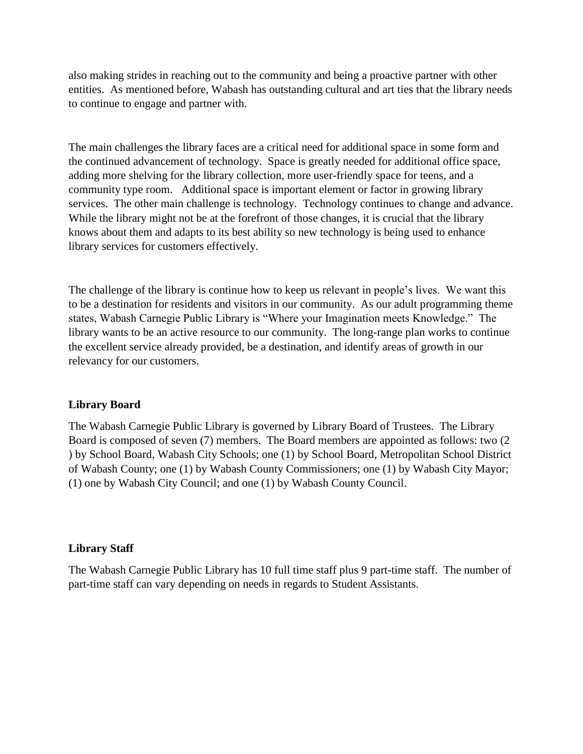also making strides in reaching out to the community and being a proactive partner with other entities. As mentioned before, Wabash has outstanding cultural and art ties that the library needs to continue to engage and partner with.

The main challenges the library faces are a critical need for additional space in some form and the continued advancement of technology. Space is greatly needed for additional office space, adding more shelving for the library collection, more user-friendly space for teens, and a community type room. Additional space is important element or factor in growing library services. The other main challenge is technology. Technology continues to change and advance. While the library might not be at the forefront of those changes, it is crucial that the library knows about them and adapts to its best ability so new technology is being used to enhance library services for customers effectively.

The challenge of the library is continue how to keep us relevant in people's lives. We want this to be a destination for residents and visitors in our community. As our adult programming theme states, Wabash Carnegie Public Library is "Where your Imagination meets Knowledge." The library wants to be an active resource to our community. The long-range plan works to continue the excellent service already provided, be a destination, and identify areas of growth in our relevancy for our customers.

## **Library Board**

The Wabash Carnegie Public Library is governed by Library Board of Trustees. The Library Board is composed of seven (7) members. The Board members are appointed as follows: two (2 ) by School Board, Wabash City Schools; one (1) by School Board, Metropolitan School District of Wabash County; one (1) by Wabash County Commissioners; one (1) by Wabash City Mayor; (1) one by Wabash City Council; and one (1) by Wabash County Council.

#### **Library Staff**

The Wabash Carnegie Public Library has 10 full time staff plus 9 part-time staff. The number of part-time staff can vary depending on needs in regards to Student Assistants.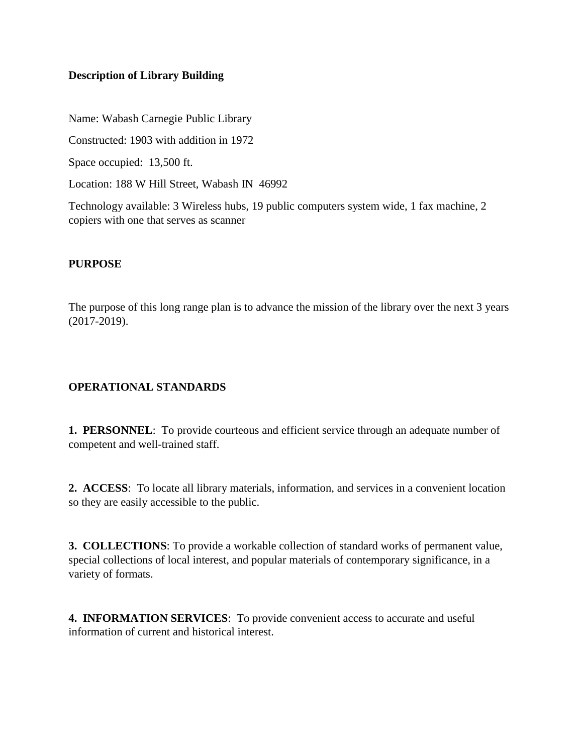# **Description of Library Building**

Name: Wabash Carnegie Public Library

Constructed: 1903 with addition in 1972

Space occupied: 13,500 ft.

Location: 188 W Hill Street, Wabash IN 46992

Technology available: 3 Wireless hubs, 19 public computers system wide, 1 fax machine, 2 copiers with one that serves as scanner

## **PURPOSE**

The purpose of this long range plan is to advance the mission of the library over the next 3 years (2017-2019).

# **OPERATIONAL STANDARDS**

**1. PERSONNEL**: To provide courteous and efficient service through an adequate number of competent and well-trained staff.

**2. ACCESS**: To locate all library materials, information, and services in a convenient location so they are easily accessible to the public.

**3. COLLECTIONS**: To provide a workable collection of standard works of permanent value, special collections of local interest, and popular materials of contemporary significance, in a variety of formats.

**4. INFORMATION SERVICES**: To provide convenient access to accurate and useful information of current and historical interest.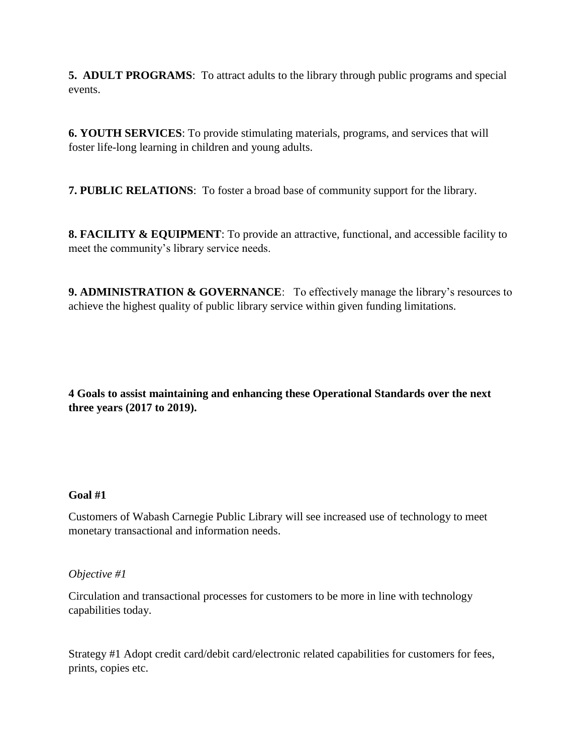**5. ADULT PROGRAMS**: To attract adults to the library through public programs and special events.

**6. YOUTH SERVICES**: To provide stimulating materials, programs, and services that will foster life-long learning in children and young adults.

**7. PUBLIC RELATIONS**: To foster a broad base of community support for the library.

**8. FACILITY & EQUIPMENT**: To provide an attractive, functional, and accessible facility to meet the community's library service needs.

**9. ADMINISTRATION & GOVERNANCE:** To effectively manage the library's resources to achieve the highest quality of public library service within given funding limitations.

**4 Goals to assist maintaining and enhancing these Operational Standards over the next three years (2017 to 2019).**

## **Goal #1**

Customers of Wabash Carnegie Public Library will see increased use of technology to meet monetary transactional and information needs.

## *Objective #1*

Circulation and transactional processes for customers to be more in line with technology capabilities today.

Strategy #1 Adopt credit card/debit card/electronic related capabilities for customers for fees, prints, copies etc.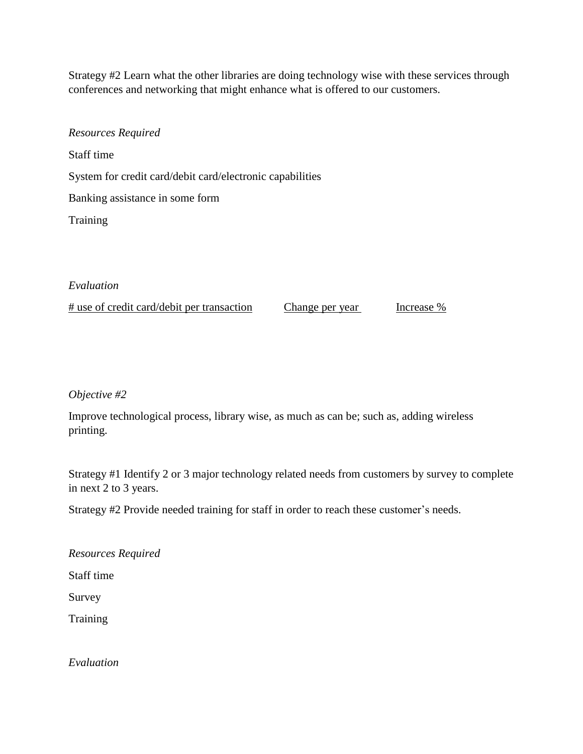Strategy #2 Learn what the other libraries are doing technology wise with these services through conferences and networking that might enhance what is offered to our customers.

*Resources Required* Staff time System for credit card/debit card/electronic capabilities Banking assistance in some form Training

# *Evaluation*

# use of credit card/debit per transaction Change per year Increase %

*Objective #2* 

Improve technological process, library wise, as much as can be; such as, adding wireless printing.

Strategy #1 Identify 2 or 3 major technology related needs from customers by survey to complete in next 2 to 3 years.

Strategy #2 Provide needed training for staff in order to reach these customer's needs.

*Resources Required*

Staff time

Survey

**Training** 

*Evaluation*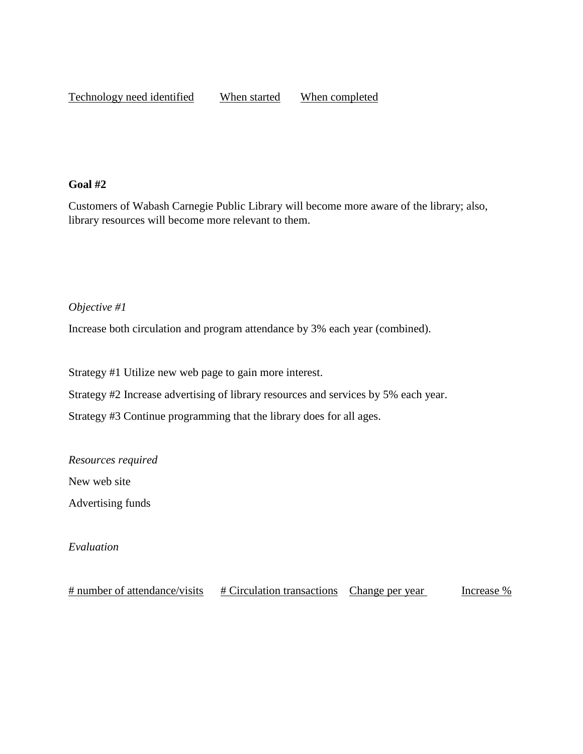## **Goal #2**

Customers of Wabash Carnegie Public Library will become more aware of the library; also, library resources will become more relevant to them.

## *Objective #1*

Increase both circulation and program attendance by 3% each year (combined).

Strategy #1 Utilize new web page to gain more interest.

Strategy #2 Increase advertising of library resources and services by 5% each year.

Strategy #3 Continue programming that the library does for all ages.

*Resources required*

New web site

Advertising funds

*Evaluation*

 $\frac{\text{# number of attendance/visits}}{\text{# Circulation transactions}}$  Change per year Increase %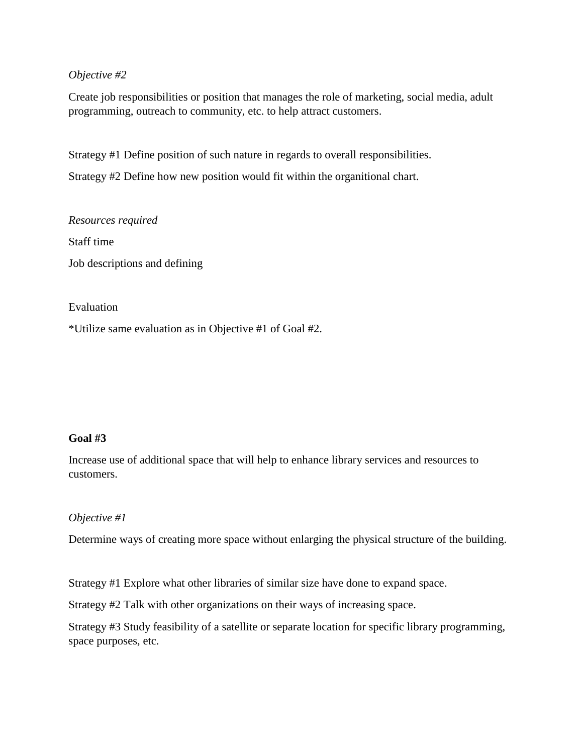## *Objective #2*

Create job responsibilities or position that manages the role of marketing, social media, adult programming, outreach to community, etc. to help attract customers.

Strategy #1 Define position of such nature in regards to overall responsibilities.

Strategy #2 Define how new position would fit within the organitional chart.

*Resources required* Staff time Job descriptions and defining

Evaluation

\*Utilize same evaluation as in Objective #1 of Goal #2.

# **Goal #3**

Increase use of additional space that will help to enhance library services and resources to customers.

## *Objective #1*

Determine ways of creating more space without enlarging the physical structure of the building.

Strategy #1 Explore what other libraries of similar size have done to expand space.

Strategy #2 Talk with other organizations on their ways of increasing space.

Strategy #3 Study feasibility of a satellite or separate location for specific library programming, space purposes, etc.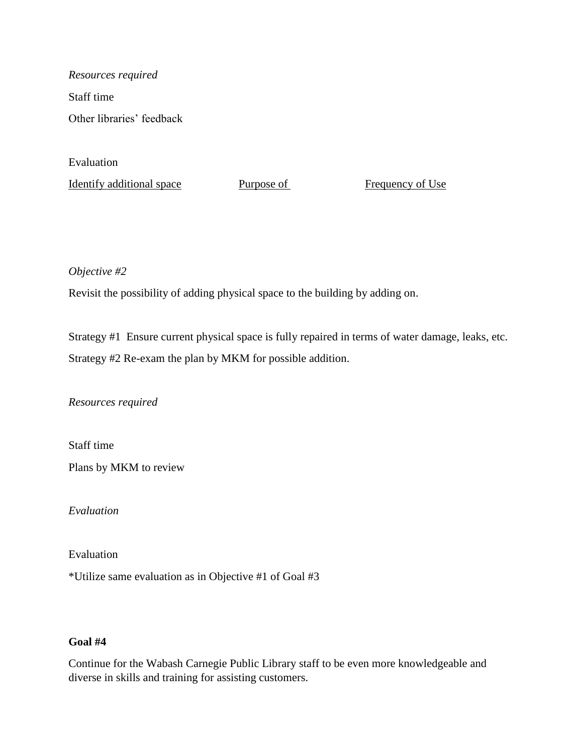*Resources required* Staff time Other libraries' feedback

Evaluation

Identify additional space Purpose of Frequency of Use

*Objective #2*

Revisit the possibility of adding physical space to the building by adding on.

Strategy #1 Ensure current physical space is fully repaired in terms of water damage, leaks, etc. Strategy #2 Re-exam the plan by MKM for possible addition.

*Resources required*

Staff time

Plans by MKM to review

*Evaluation*

Evaluation

\*Utilize same evaluation as in Objective #1 of Goal #3

## **Goal #4**

Continue for the Wabash Carnegie Public Library staff to be even more knowledgeable and diverse in skills and training for assisting customers.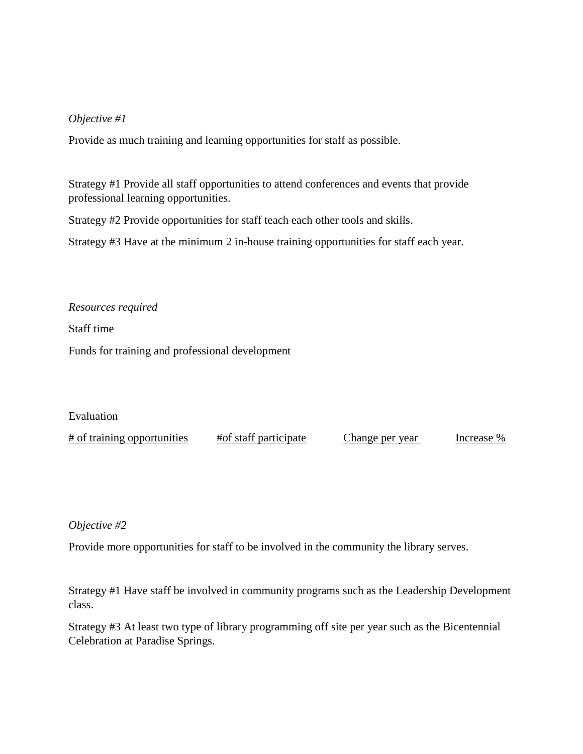### *Objective #1*

Provide as much training and learning opportunities for staff as possible.

Strategy #1 Provide all staff opportunities to attend conferences and events that provide professional learning opportunities.

Strategy #2 Provide opportunities for staff teach each other tools and skills.

Strategy #3 Have at the minimum 2 in-house training opportunities for staff each year.

*Resources required*

Staff time

Funds for training and professional development

Evaluation

# of training opportunities #of staff participate Change per year Increase %

#### *Objective #2*

Provide more opportunities for staff to be involved in the community the library serves.

Strategy #1 Have staff be involved in community programs such as the Leadership Development class.

Strategy #3 At least two type of library programming off site per year such as the Bicentennial Celebration at Paradise Springs.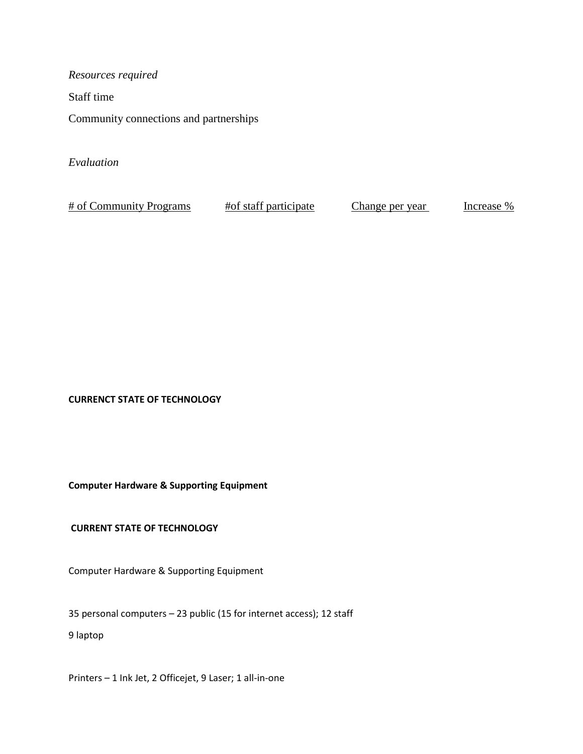*Resources required* Staff time

Community connections and partnerships

*Evaluation*

# of Community Programs # of staff participate Change per year Increase %

**CURRENCT STATE OF TECHNOLOGY**

**Computer Hardware & Supporting Equipment**

**CURRENT STATE OF TECHNOLOGY** 

Computer Hardware & Supporting Equipment

35 personal computers – 23 public (15 for internet access); 12 staff

9 laptop

Printers – 1 Ink Jet, 2 Officejet, 9 Laser; 1 all-in-one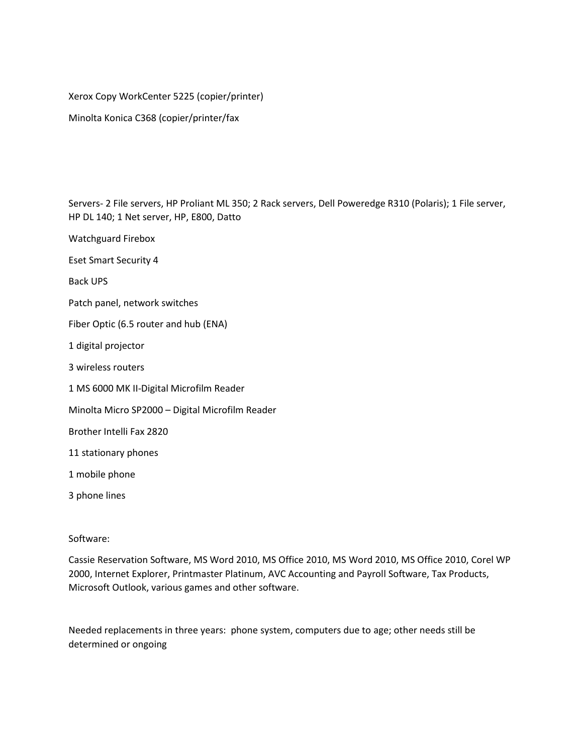Xerox Copy WorkCenter 5225 (copier/printer)

Minolta Konica C368 (copier/printer/fax

Servers- 2 File servers, HP Proliant ML 350; 2 Rack servers, Dell Poweredge R310 (Polaris); 1 File server, HP DL 140; 1 Net server, HP, E800, Datto

Watchguard Firebox

Eset Smart Security 4

Back UPS

Patch panel, network switches

Fiber Optic (6.5 router and hub (ENA)

1 digital projector

3 wireless routers

1 MS 6000 MK II-Digital Microfilm Reader

Minolta Micro SP2000 – Digital Microfilm Reader

Brother Intelli Fax 2820

11 stationary phones

1 mobile phone

3 phone lines

#### Software:

Cassie Reservation Software, MS Word 2010, MS Office 2010, MS Word 2010, MS Office 2010, Corel WP 2000, Internet Explorer, Printmaster Platinum, AVC Accounting and Payroll Software, Tax Products, Microsoft Outlook, various games and other software.

Needed replacements in three years: phone system, computers due to age; other needs still be determined or ongoing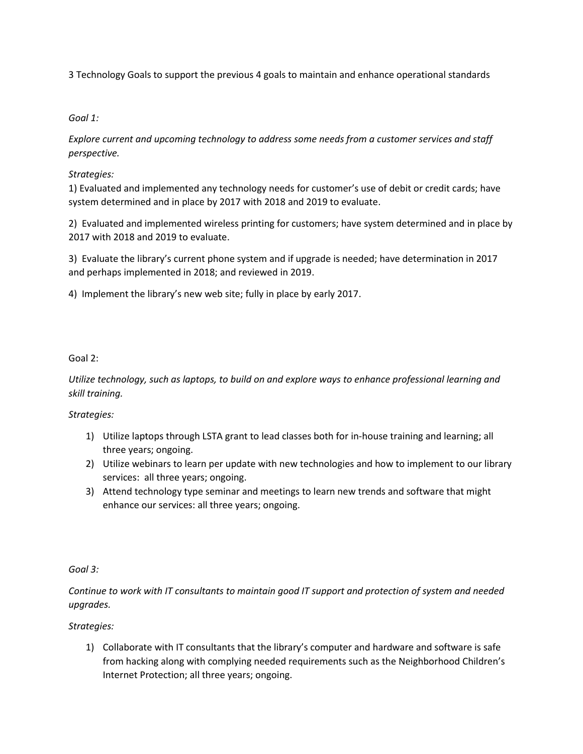3 Technology Goals to support the previous 4 goals to maintain and enhance operational standards

### *Goal 1:*

*Explore current and upcoming technology to address some needs from a customer services and staff perspective.*

### *Strategies:*

1) Evaluated and implemented any technology needs for customer's use of debit or credit cards; have system determined and in place by 2017 with 2018 and 2019 to evaluate.

2) Evaluated and implemented wireless printing for customers; have system determined and in place by 2017 with 2018 and 2019 to evaluate.

3) Evaluate the library's current phone system and if upgrade is needed; have determination in 2017 and perhaps implemented in 2018; and reviewed in 2019.

4) Implement the library's new web site; fully in place by early 2017.

### Goal 2:

*Utilize technology, such as laptops, to build on and explore ways to enhance professional learning and skill training.*

## *Strategies:*

- 1) Utilize laptops through LSTA grant to lead classes both for in-house training and learning; all three years; ongoing.
- 2) Utilize webinars to learn per update with new technologies and how to implement to our library services: all three years; ongoing.
- 3) Attend technology type seminar and meetings to learn new trends and software that might enhance our services: all three years; ongoing.

#### *Goal 3:*

## *Continue to work with IT consultants to maintain good IT support and protection of system and needed upgrades.*

## *Strategies:*

1) Collaborate with IT consultants that the library's computer and hardware and software is safe from hacking along with complying needed requirements such as the Neighborhood Children's Internet Protection; all three years; ongoing.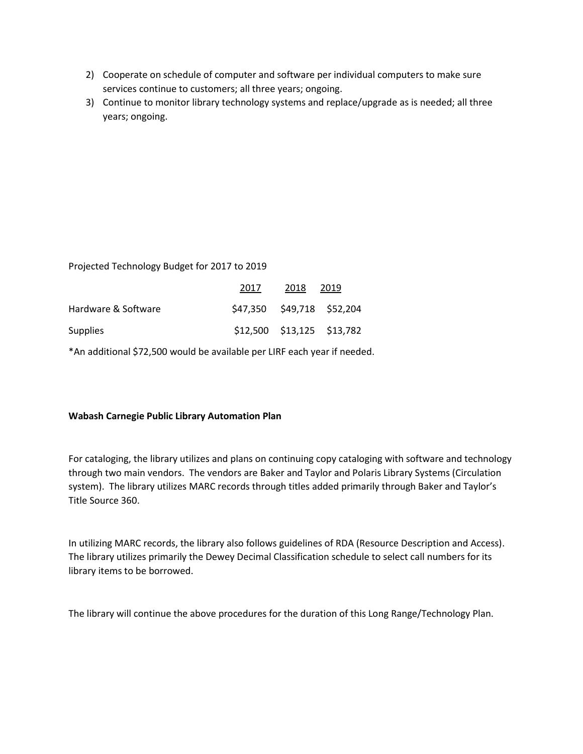- 2) Cooperate on schedule of computer and software per individual computers to make sure services continue to customers; all three years; ongoing.
- 3) Continue to monitor library technology systems and replace/upgrade as is needed; all three years; ongoing.

Projected Technology Budget for 2017 to 2019

|                     | 2017                       | 2018 | 2019                          |
|---------------------|----------------------------|------|-------------------------------|
| Hardware & Software | \$47,350 \$49,718 \$52,204 |      |                               |
| Supplies            |                            |      | $$12,500$ $$13,125$ $$13,782$ |

\*An additional \$72,500 would be available per LIRF each year if needed.

#### **Wabash Carnegie Public Library Automation Plan**

For cataloging, the library utilizes and plans on continuing copy cataloging with software and technology through two main vendors. The vendors are Baker and Taylor and Polaris Library Systems (Circulation system). The library utilizes MARC records through titles added primarily through Baker and Taylor's Title Source 360.

In utilizing MARC records, the library also follows guidelines of RDA (Resource Description and Access). The library utilizes primarily the Dewey Decimal Classification schedule to select call numbers for its library items to be borrowed.

The library will continue the above procedures for the duration of this Long Range/Technology Plan.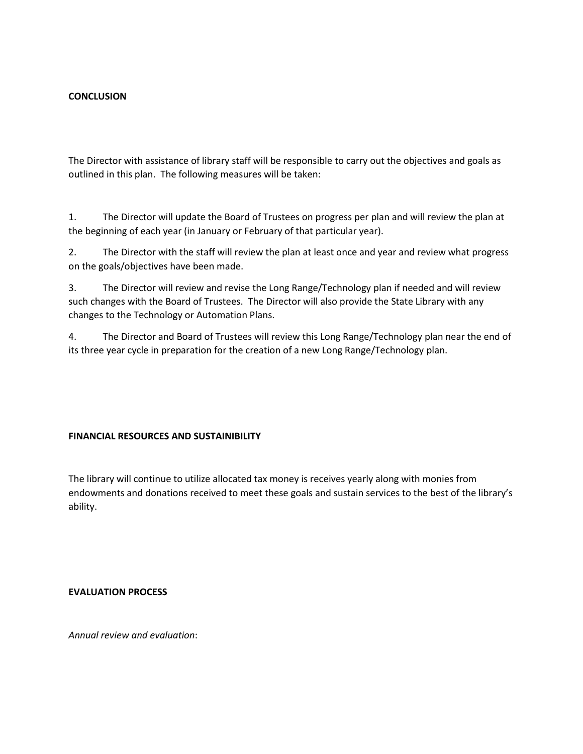#### **CONCLUSION**

The Director with assistance of library staff will be responsible to carry out the objectives and goals as outlined in this plan. The following measures will be taken:

1. The Director will update the Board of Trustees on progress per plan and will review the plan at the beginning of each year (in January or February of that particular year).

2. The Director with the staff will review the plan at least once and year and review what progress on the goals/objectives have been made.

3. The Director will review and revise the Long Range/Technology plan if needed and will review such changes with the Board of Trustees. The Director will also provide the State Library with any changes to the Technology or Automation Plans.

4. The Director and Board of Trustees will review this Long Range/Technology plan near the end of its three year cycle in preparation for the creation of a new Long Range/Technology plan.

#### **FINANCIAL RESOURCES AND SUSTAINIBILITY**

The library will continue to utilize allocated tax money is receives yearly along with monies from endowments and donations received to meet these goals and sustain services to the best of the library's ability.

**EVALUATION PROCESS**

*Annual review and evaluation*: